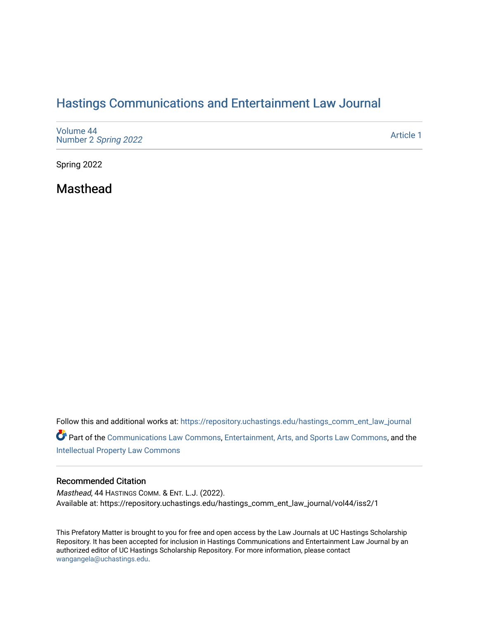## [Hastings Communications and Entertainment Law Journal](https://repository.uchastings.edu/hastings_comm_ent_law_journal)

| Volume 44<br>Number 2 Spring 2022 | Article 1 |
|-----------------------------------|-----------|
|-----------------------------------|-----------|

Spring 2022

Masthead

Follow this and additional works at: [https://repository.uchastings.edu/hastings\\_comm\\_ent\\_law\\_journal](https://repository.uchastings.edu/hastings_comm_ent_law_journal?utm_source=repository.uchastings.edu%2Fhastings_comm_ent_law_journal%2Fvol44%2Fiss2%2F1&utm_medium=PDF&utm_campaign=PDFCoverPages) Part of the [Communications Law Commons,](http://network.bepress.com/hgg/discipline/587?utm_source=repository.uchastings.edu%2Fhastings_comm_ent_law_journal%2Fvol44%2Fiss2%2F1&utm_medium=PDF&utm_campaign=PDFCoverPages) [Entertainment, Arts, and Sports Law Commons](http://network.bepress.com/hgg/discipline/893?utm_source=repository.uchastings.edu%2Fhastings_comm_ent_law_journal%2Fvol44%2Fiss2%2F1&utm_medium=PDF&utm_campaign=PDFCoverPages), and the [Intellectual Property Law Commons](http://network.bepress.com/hgg/discipline/896?utm_source=repository.uchastings.edu%2Fhastings_comm_ent_law_journal%2Fvol44%2Fiss2%2F1&utm_medium=PDF&utm_campaign=PDFCoverPages) 

## Recommended Citation

Masthead, 44 HASTINGS COMM. & ENT. L.J. (2022). Available at: https://repository.uchastings.edu/hastings\_comm\_ent\_law\_journal/vol44/iss2/1

This Prefatory Matter is brought to you for free and open access by the Law Journals at UC Hastings Scholarship Repository. It has been accepted for inclusion in Hastings Communications and Entertainment Law Journal by an authorized editor of UC Hastings Scholarship Repository. For more information, please contact [wangangela@uchastings.edu.](mailto:wangangela@uchastings.edu)